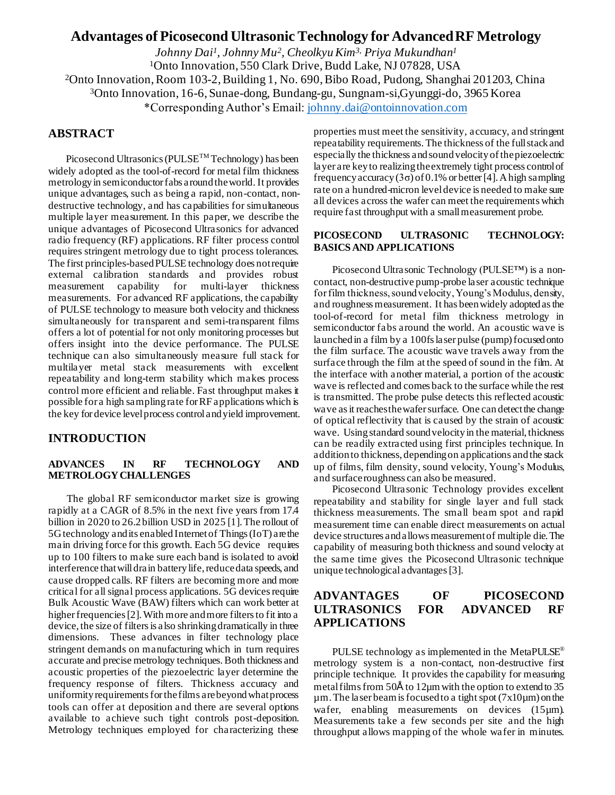# **Advantages of Picosecond Ultrasonic Technology for Advanced RF Metrology**

*Johnny Dai<sup>1</sup> , Johnny Mu<sup>2</sup> , Cheolkyu Kim3, Priya Mukundhan<sup>1</sup>* <sup>1</sup>Onto Innovation, 550 Clark Drive, Budd Lake, NJ 07828, USA <sup>2</sup>Onto Innovation, Room 103-2, Building 1, No. 690, Bibo Road, Pudong, Shanghai 201203, China <sup>3</sup>Onto Innovation, 16-6, Sunae-dong, Bundang-gu, Sungnam-si,Gyunggi-do, 3965 Korea \*Corresponding Author's Email: [johnny.dai@ontoinnovation.com](mailto:johnny.dai@ontoinnovation.com)

## **ABSTRACT**

Picosecond Ultrasonics (PULSE<sup>TM</sup> Technology) has been widely adopted as the tool-of-record for metal film thickness metrology in semiconductor fabs around the world. It provides unique advantages, such as being a rapid, non-contact, nondestructive technology, and has capabilities for simultaneous multiple layer measurement. In this paper, we describe the unique advantages of Picosecond Ultrasonics for advanced radio frequency (RF) applications. RF filter process control requires stringent metrology due to tight process tolerances. The first principles-based PULSE technology does not require external calibration standards and provides robust measurement capability for multi-layer thickness measurements. For advanced RF applications, the capability of PULSE technology to measure both velocity and thickness simultaneously for transparent and semi-transparent films offers a lot of potential for not only monitoring processes but offers insight into the device performance. The PULSE technique can also simultaneously measure full stack for multilayer metal stack measurements with excellent repeatability and long-term stability which makes process control more efficient and reliable. Fast throughput makes it possible for a high sampling rate for RF applications which is the key for device level process control and yield improvement.

## **INTRODUCTION**

## **ADVANCES IN RF TECHNOLOGY AND METROLOGY CHALLENGES**

The global RF semiconductor market size is growing rapidly at a CAGR of 8.5% in the next five years from 17.4 billion in 2020 to 26.2 billion USD in 2025 [1]. The rollout of 5G technology and its enabled Internetof Things (IoT) are the main driving force for this growth. Each 5G device requires up to 100 filters to make sure each band is isolated to avoid interference that will drain battery life, reduce data speeds, and cause dropped calls. RF filters are becoming more and more critical for all signal process applications. 5G devices require Bulk Acoustic Wave (BAW) filters which can work better at higher frequencies [2]. With more and more filters to fit into a device, the size of filters is also shrinking dramatically in three dimensions. These advances in filter technology place stringent demands on manufacturing which in turn requires accurate and precise metrology techniques. Both thickness and acoustic properties of the piezoelectric layer determine the frequency response of filters. Thickness accuracy and uniformity requirements for the films are beyond what process tools can offer at deposition and there are several options available to achieve such tight controls post-deposition. Metrology techniques employed for characterizing these

properties must meet the sensitivity, accuracy, and stringent repeatability requirements. The thickness of the full stack and especially the thickness and sound velocity of the piezoelectric layer are key to realizing the extremely tight process control of frequency accuracy  $(3\sigma)$  of 0.1% or better [4]. A high sampling rate on a hundred-micron level device is needed to make sure all devices across the wafer can meet the requirements which require fast throughput with a small measurement probe.

### **PICOSECOND ULTRASONIC TECHNOLOGY: BASICS AND APPLICATIONS**

Picosecond Ultrasonic Technology (PULSE™) is a noncontact, non-destructive pump-probe laser acoustic technique for film thickness, sound velocity, Young's Modulus, density, and roughness measurement. It has been widely adopted as the tool-of-record for metal film thickness metrology in semiconductor fabs around the world. An acoustic wave is launched in a film by a 100fs laser pulse (pump) focused onto the film surface. The acoustic wave travels away from the surface through the film at the speed of sound in the film. At the interface with another material, a portion of the acoustic wave is reflected and comes back to the surface while the rest is transmitted. The probe pulse detects this reflected acoustic wave as it reaches the wafer surface. One can detect the change of optical reflectivity that is caused by the strain of acoustic wave. Using standard sound velocity in the material, thickness can be readily extracted using first principles technique. In addition to thickness, depending on applications and the stack up of films, film density, sound velocity, Young's Modulus, and surface roughness can also be measured.

Picosecond Ultrasonic Technology provides excellent repeatability and stability for single layer and full stack thickness measurements. The small beam spot and rapid measurement time can enable direct measurements on actual device structures and allows measurement of multiple die. The capability of measuring both thickness and sound velocity at the same time gives the Picosecond Ultrasonic technique unique technological advantages[3].

## **ADVANTAGES OF PICOSECOND ULTRASONICS FOR ADVANCED RF APPLICATIONS**

PULSE technology as implemented in the MetaPULSE® metrology system is a non-contact, non-destructive first principle technique. It provides the capability for measuring metal films from 50Å to 12 $\mu$ m with the option to extend to 35  $\mu$ m. The laser beam is focused to a tight spot ( $7x10\mu$ m) on the wafer, enabling measurements on devices (15µm). Measurements take a few seconds per site and the high throughput allows mapping of the whole wafer in minutes.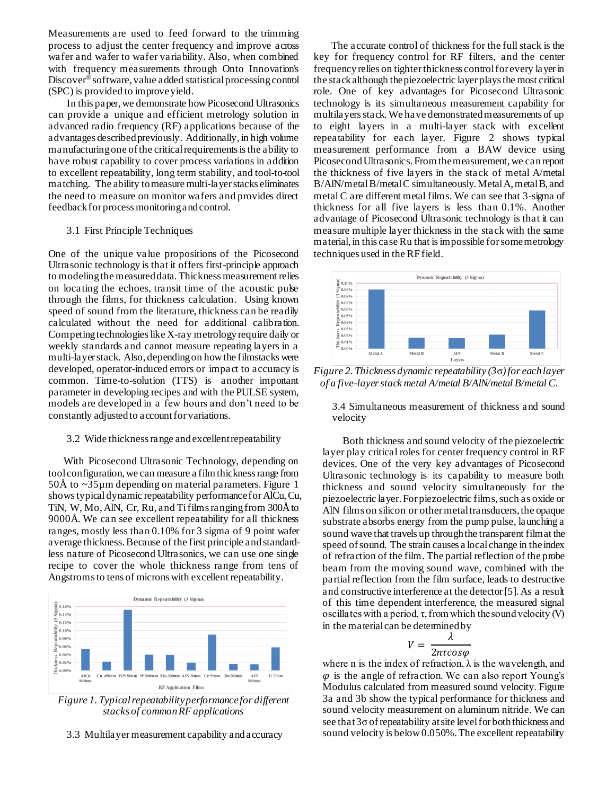Measurements are used to feed forward to the trimming process to adjust the center frequency and improve across wafer and wafer to wafer variability. Also, when combined with frequency measurements through Onto Innovation's Discover<sup>®</sup> software, value added statistical processing control (SPC) is provided to improve yield.

In this paper, we demonstrate howPicosecond Ultrasonics can provide a unique and efficient metrology solution in advanced radio frequency (RF) applications because of the advantages described previously. Additionally, in high volume manufacturing one of the critical requirements is the ability to have robust capability to cover process variations in addition to excellent repeatability, long term stability, and tool-to-tool matching. The ability to measure multi-layer stacks eliminates the need to measure on monitor wafers and provides direct feedback for process monitoring and control.

#### 3.1 First Principle Techniques

One of the unique value propositions of the Picosecond Ultrasonic technology is that it offers first-principle approach to modeling the measured data. Thickness measurement relies on locating the echoes, transit time of the acoustic pulse through the films, for thickness calculation. Using known speed of sound from the literature, thickness can be readily calculated without the need for additional calibration. Competing technologies like X-ray metrology require daily or weekly standards and cannot measure repeating layers in a multi-layer stack. Also, depending on how the filmstacks were developed, operator-induced errors or impact to accuracy is common. Time-to-solution (TTS) is another important parameter in developing recipes and with the PULSE system, models are developed in a few hours and don't need to be constantly adjusted to account for variations.

#### 3.2 Wide thickness range and excellent repeatability

 With Picosecond Ultrasonic Technology, depending on tool configuration, we can measure a film thickness range from  $50\text{\AA}$  to  $\sim$ 35 $\mu$ m depending on material parameters. Figure 1 shows typical dynamic repeatability performance for AlCu,Cu, TiN, W, Mo, AlN, Cr, Ru, and Tifilms ranging from 300Åto 9000Å. We can see excellent repeatability for all thickness ranges, mostly less than 0.10% for 3 sigma of 9 point wafer average thickness. Because of the first principle and standardless nature of Picosecond Ultrasonics, we can use one single recipe to cover the whole thickness range from tens of Angstroms to tens of microns with excellent repeatability.



*Figure 1. Typical repeatability performance for different stacks of common RF applications*

#### 3.3 Multilayer measurement capability and accuracy

 The accurate control of thickness for the full stack is the key for frequency control for RF filters, and the center frequency relies on tighterthickness control for every layerin the stack although the piezoelectric layer playsthe most critical role. One of key advantages for Picosecond Ultrasonic technology is its simultaneous measurement capability for multilayers stack. We have demonstrated measurements of up to eight layers in a multi-layer stack with excellent repeatability for each layer. Figure 2 shows typical measurement performance from a BAW device using Picosecond Ultrasonics. From the measurement, we can report the thickness of five layers in the stack of metal A/metal B/AlN/metal B/metal C simultaneously. Metal A, metal B, and metal C are different metal films. We can see that 3-sigma of thickness for all five layers is less than 0.1%. Another advantage of Picosecond Ultrasonic technology is that it can measure multiple layer thickness in the stack with the same material, in this case Ru that is impossible for some metrology techniques used in the RF field.



*Figure 2. Thickness dynamic repeatability (3*σ*) for each layer of a five-layer stack metal A/metal B/AlN/metal B/metal C.*

3.4 Simultaneous measurement of thickness and sound velocity

 Both thickness and sound velocity of the piezoelectric layer play critical roles for center frequency control in RF devices. One of the very key advantages of Picosecond Ultrasonic technology is its capability to measure both thickness and sound velocity simultaneously for the piezoelectric layer. For piezoelectric films, such as oxide or AlN films on silicon or other metal transducers, the opaque substrate absorbs energy from the pump pulse, launching a sound wave that travels up through the transparent film at the speed of sound. The strain causes a local change in the index of refraction of the film. The partial reflection of the probe beam from the moving sound wave, combined with the partial reflection from the film surface, leads to destructive and constructive interference at the detector[5]. As a result of this time dependent interference, the measured signal oscillates with a period,  $\tau$ , from which the sound velocity (V) in the material can be determined by

$$
V = \frac{\lambda}{2n\tau cos\varphi}
$$

where n is the index of refraction,  $\lambda$  is the wavelength, and  $\varphi$  is the angle of refraction. We can also report Young's Modulus calculated from measured sound velocity. Figure 3a and 3b show the typical performance for thickness and sound velocity measurement on aluminum nitride. We can see that 3σ of repeatability at site level for both thickness and sound velocity is below 0.050%. The excellent repeatability